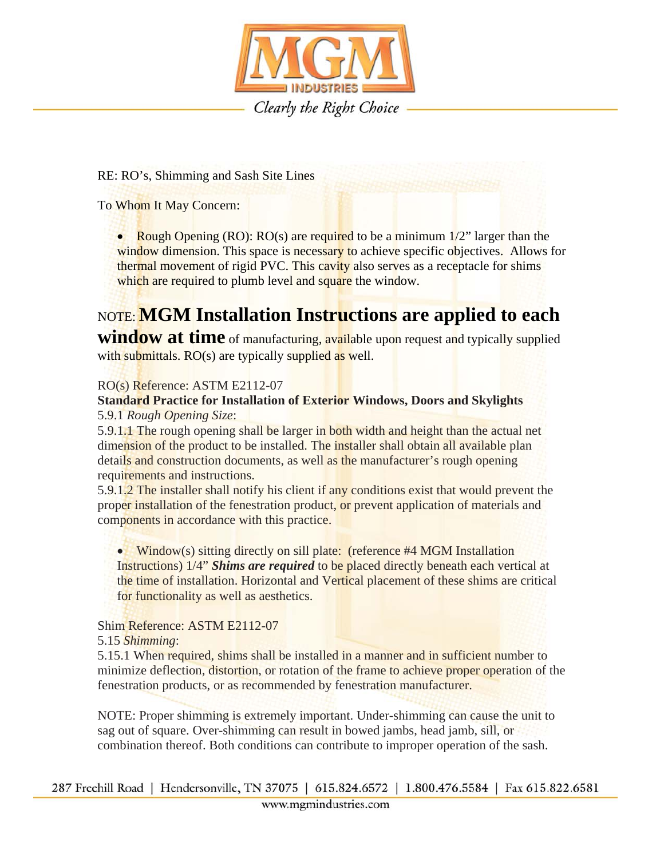

RE: RO's, Shimming and Sash Site Lines

To Whom It May Concern:

• Rough Opening  $(RO): RO(s)$  are required to be a minimum  $1/2$ " larger than the window dimension. This space is necessary to achieve specific objectives. Allows for thermal movement of rigid PVC. This cavity also serves as a receptacle for shims which are required to plumb level and square the window.

# NOTE: **MGM Installation Instructions are applied to each**

**window at time** of manufacturing, available upon request and typically supplied with submittals. RO(s) are typically supplied as well.

### RO(s) Reference: ASTM E2112-07

## **Standard Practice for Installation of Exterior Windows, Doors and Skylights**

#### 5.9.1 *Rough Opening Size*:

5.9.1.1 The rough opening shall be larger in both width and height than the actual net dimension of the product to be installed. The installer shall obtain all available plan details and construction documents, as well as the manufacturer's rough opening requirements and instructions.

5.9.1.2 The installer shall notify his client if any conditions exist that would prevent the proper installation of the fenestration product, or prevent application of materials and components in accordance with this practice.

• Window(s) sitting directly on sill plate: (reference  $#4$  MGM Installation Instructions) 1/4" *Shims are required* to be placed directly beneath each vertical at the time of installation. Horizontal and Vertical placement of these shims are critical for functionality as well as aesthetics.

### Shim Reference: ASTM E2112-07

5.15 *Shimming*:

5.15.1 When required, shims shall be installed in a manner and in sufficient number to minimize deflection, distortion, or rotation of the frame to achieve proper operation of the fenestration products, or as recommended by fenestration manufacturer.

NOTE: Proper shimming is extremely important. Under-shimming can cause the unit to sag out of square. Over-shimming can result in bowed jambs, head jamb, sill, or combination thereof. Both conditions can contribute to improper operation of the sash.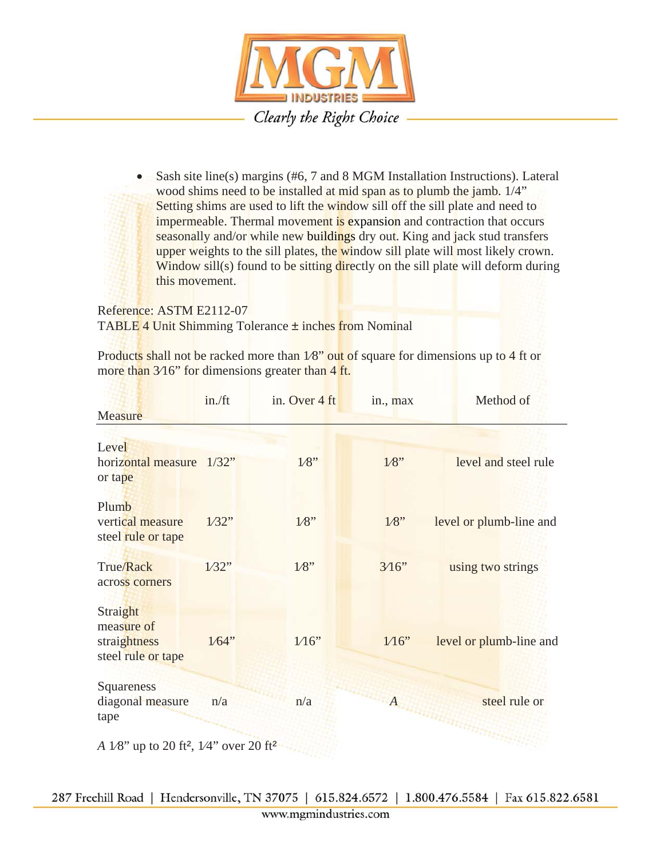

• Sash site line(s) margins (#6, 7 and 8 MGM Installation Instructions). Lateral wood shims need to be installed at mid span as to plumb the jamb. 1/4" Setting shims are used to lift the window sill off the sill plate and need to impermeable. Thermal movement is expansion and contraction that occurs seasonally and/or while new buildings dry out. King and jack stud transfers upper weights to the sill plates, the window sill plate will most likely crown. Window sill(s) found to be sitting directly on the sill plate will deform during this movement.

Reference: ASTM E2112-07 TABLE 4 Unit Shimming Tolerance ± inches from Nominal

Products shall not be racked more than  $1/8$ " out of square for dimensions up to 4 ft or more than 3/16" for dimensions greater than 4 ft.

|                                                                | in./ft | in. Over 4 ft | in., max  | Method of               |
|----------------------------------------------------------------|--------|---------------|-----------|-------------------------|
| Measure                                                        |        |               |           |                         |
|                                                                |        |               |           |                         |
| Level                                                          |        |               |           |                         |
| horizontal measure<br>or tape                                  | 1/32"  | $1/8$ "       | $1/8$ "   | level and steel rule    |
| Plumb                                                          |        |               |           |                         |
| vertical measure                                               | 1/32"  | $1/8$ "       | $1/8$ "   | level or plumb-line and |
| steel rule or tape                                             |        |               |           |                         |
| <b>True/Rack</b>                                               | 1/32"  | $1/8$ "       | 3/16"     | using two strings       |
| across corners                                                 |        |               |           |                         |
| Straight                                                       |        |               |           |                         |
| measure of                                                     |        |               |           |                         |
| straightness                                                   | 1/64"  | $1/16$ "      | $1/16$ "  | level or plumb-line and |
| steel rule or tape                                             |        |               |           |                         |
| Squareness                                                     |        |               |           |                         |
| diagonal measure                                               | n/a    | n/a           | $A_{i,j}$ | steel rule or           |
| tape                                                           |        |               |           |                         |
|                                                                |        |               |           |                         |
| A 1/8" up to 20 ft <sup>2</sup> , 1/4" over 20 ft <sup>2</sup> |        |               |           |                         |